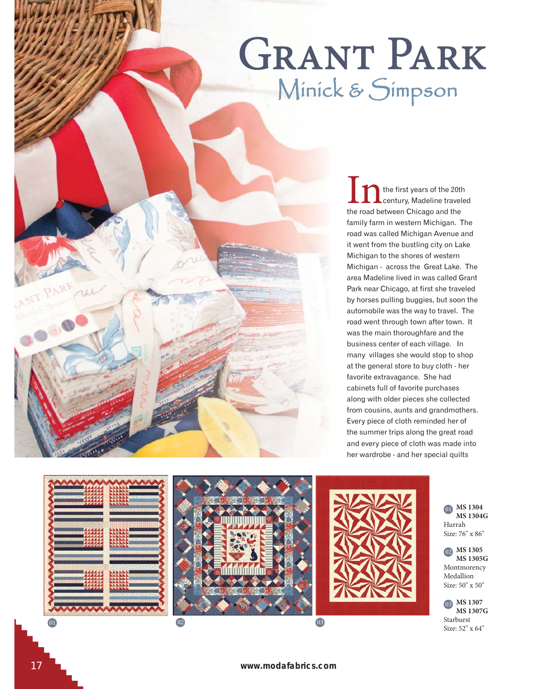## **GRANT PARK** Minick & Simpson

the first years of the 20th century, Madeline traveled the road between Chicago and the family farm in western Michigan. The road was called Michigan Avenue and it went from the bustling city on Lake Michigan to the shores of western Michigan - across the Great Lake. The area Madeline lived in was called Grant Park near Chicago, at first she traveled by horses pulling buggies, but soon the automobile was the way to travel. The road went through town after town. It was the main thoroughfare and the business center of each village. In many villages she would stop to shop at the general store to buy cloth - her favorite extravagance. She had cabinets full of favorite purchases along with older pieces she collected from cousins, aunts and grandmothers. Every piece of cloth reminded her of the summer trips along the great road and every piece of cloth was made into her wardrobe - and her special quilts



**MS 1304**  01  **MS 1304G** Hurrah Size: 76" x 86"

**MS 1305**  02  **MS 1305G** Montmorency Medallion Size: 50" x 50"

**MS 1307**  03  **MS 1307G** Starburst Size: 52" x 64"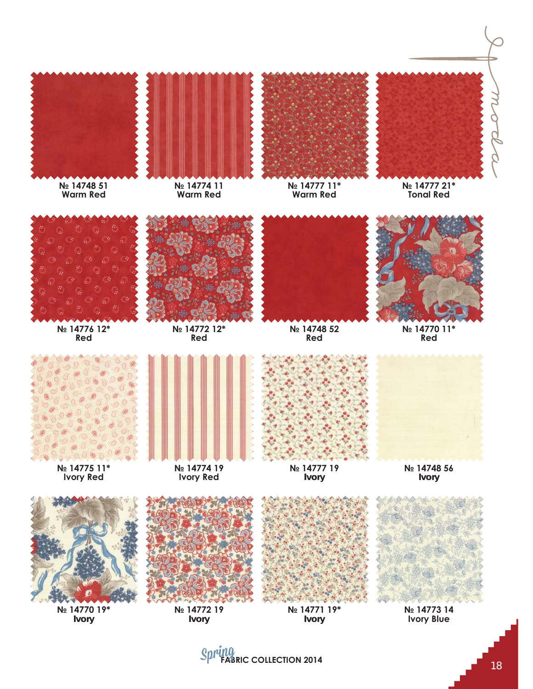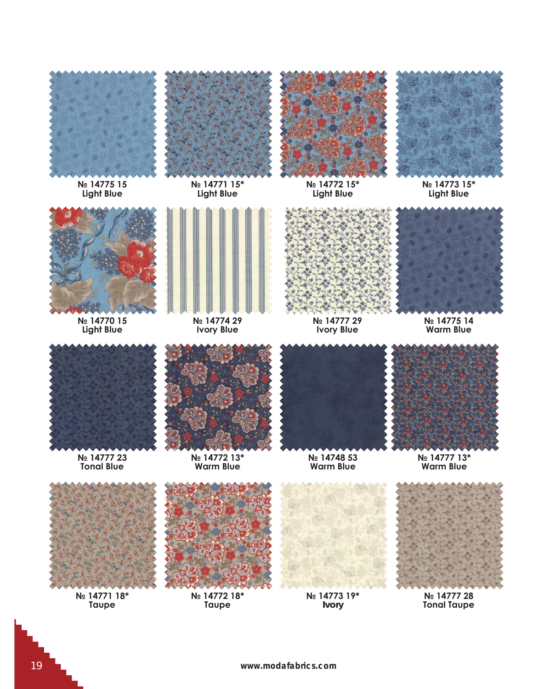

**N**<sup>2</sup> 14775 15 **Light Blue** 



N<sub>2</sub> 14771 15\* **Light Blue** 





N<sub>2</sub> 14772 15\* **Light Blue** 

N<sub>2</sub> 14773 15\* **Light Blue** 



**N**<sup>2</sup> 14770 15 **Light Blue** 



N<sub>2</sub> 14774 29 **lvory Blue** 



**N**∘ 14777 29 **lvory Blue** 



**N**∘ 14775 14 **Warm Blue** 



**N**º 14777 23 **Tonal Blue** 



**№ 14772 13\* Warm Blue** 





**N**º 14777 13\* **Warm Blue** 



Nº 14771 18<sup>\*</sup> **Taupe** 



N<sub>2</sub> 14772 18<sup>\*</sup> **Taupe** 







N<sub>2</sub> 14777 28 **Tonal Taupe**